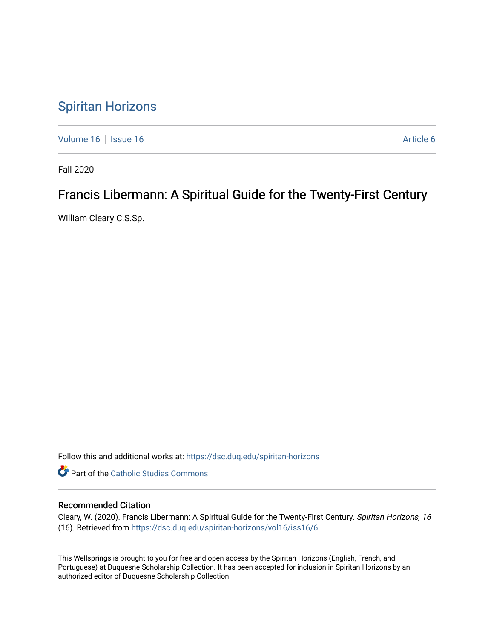# [Spiritan Horizons](https://dsc.duq.edu/spiritan-horizons)

[Volume 16](https://dsc.duq.edu/spiritan-horizons/vol16) | [Issue 16](https://dsc.duq.edu/spiritan-horizons/vol16/iss16) | **Article 6** Article 6

Fall 2020

# Francis Libermann: A Spiritual Guide for the Twenty-First Century

William Cleary C.S.Sp.

Follow this and additional works at: [https://dsc.duq.edu/spiritan-horizons](https://dsc.duq.edu/spiritan-horizons?utm_source=dsc.duq.edu%2Fspiritan-horizons%2Fvol16%2Fiss16%2F6&utm_medium=PDF&utm_campaign=PDFCoverPages)

**Part of the [Catholic Studies Commons](http://network.bepress.com/hgg/discipline/1294?utm_source=dsc.duq.edu%2Fspiritan-horizons%2Fvol16%2Fiss16%2F6&utm_medium=PDF&utm_campaign=PDFCoverPages)** 

### Recommended Citation

Cleary, W. (2020). Francis Libermann: A Spiritual Guide for the Twenty-First Century. Spiritan Horizons, 16 (16). Retrieved from [https://dsc.duq.edu/spiritan-horizons/vol16/iss16/6](https://dsc.duq.edu/spiritan-horizons/vol16/iss16/6?utm_source=dsc.duq.edu%2Fspiritan-horizons%2Fvol16%2Fiss16%2F6&utm_medium=PDF&utm_campaign=PDFCoverPages)

This Wellsprings is brought to you for free and open access by the Spiritan Horizons (English, French, and Portuguese) at Duquesne Scholarship Collection. It has been accepted for inclusion in Spiritan Horizons by an authorized editor of Duquesne Scholarship Collection.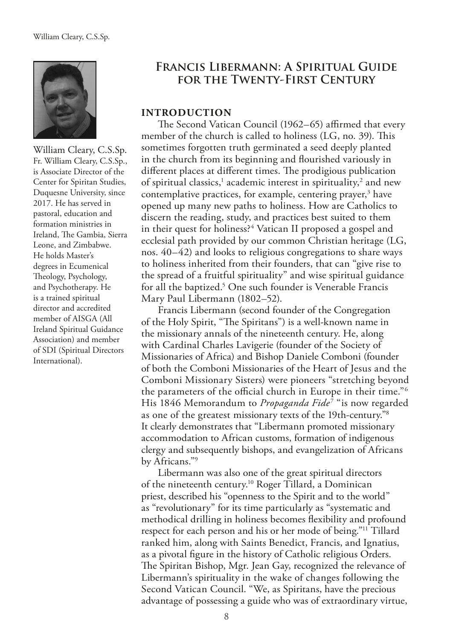

William Cleary, C.S.Sp. Fr. William Cleary, C.S.Sp., is Associate Director of the Center for Spiritan Studies, Duquesne University, since 2017. He has served in pastoral, education and formation ministries in Ireland, The Gambia, Sierra Leone, and Zimbabwe. He holds Master's degrees in Ecumenical Theology, Psychology, and Psychotherapy. He is a trained spiritual director and accredited member of AISGA (All Ireland Spiritual Guidance Association) and member of SDI (Spiritual Directors International).

## **Francis Libermann: A Spiritual Guide for the Twenty-First Century**

#### **INTRODUCTION**

The Second Vatican Council (1962–65) affirmed that every member of the church is called to holiness (LG, no. 39). This sometimes forgotten truth germinated a seed deeply planted in the church from its beginning and fourished variously in different places at different times. The prodigious publication of spiritual classics,<sup>1</sup> academic interest in spirituality,<sup>2</sup> and new contemplative practices, for example, centering prayer,<sup>3</sup> have opened up many new paths to holiness. How are Catholics to discern the reading, study, and practices best suited to them in their quest for holiness?<sup>4</sup> Vatican II proposed a gospel and ecclesial path provided by our common Christian heritage (LG, nos. 40–42) and looks to religious congregations to share ways to holiness inherited from their founders, that can "give rise to the spread of a fruitful spirituality" and wise spiritual guidance for all the baptized.<sup>5</sup> One such founder is Venerable Francis Mary Paul Libermann (1802–52).

Francis Libermann (second founder of the Congregation of the Holy Spirit, "The Spiritans") is a well-known name in the missionary annals of the nineteenth century. He, along with Cardinal Charles Lavigerie (founder of the Society of Missionaries of Africa) and Bishop Daniele Comboni (founder of both the Comboni Missionaries of the Heart of Jesus and the Comboni Missionary Sisters) were pioneers "stretching beyond the parameters of the official church in Europe in their time."<sup>6</sup> His 1846 Memorandum to *Propaganda Fide<sup>7</sup>* "is now regarded as one of the greatest missionary texts of the 19th-century."8 It clearly demonstrates that "Libermann promoted missionary accommodation to African customs, formation of indigenous clergy and subsequently bishops, and evangelization of Africans by Africans."9

Libermann was also one of the great spiritual directors of the nineteenth century.10 Roger Tillard, a Dominican priest, described his "openness to the Spirit and to the world" as "revolutionary" for its time particularly as "systematic and methodical drilling in holiness becomes fexibility and profound respect for each person and his or her mode of being."11 Tillard ranked him, along with Saints Benedict, Francis, and Ignatius, as a pivotal fgure in the history of Catholic religious Orders. The Spiritan Bishop, Mgr. Jean Gay, recognized the relevance of Libermann's spirituality in the wake of changes following the Second Vatican Council. "We, as Spiritans, have the precious advantage of possessing a guide who was of extraordinary virtue,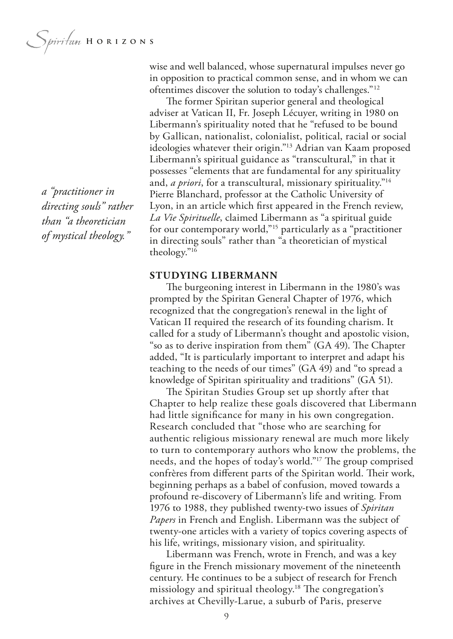*a "practitioner in directing souls" rather than "a theoretician of mystical theology."*

wise and well balanced, whose supernatural impulses never go in opposition to practical common sense, and in whom we can oftentimes discover the solution to today's challenges."12

The former Spiritan superior general and theological adviser at Vatican II, Fr. Joseph Lécuyer, writing in 1980 on Libermann's spirituality noted that he "refused to be bound by Gallican, nationalist, colonialist, political, racial or social ideologies whatever their origin."13 Adrian van Kaam proposed Libermann's spiritual guidance as "transcultural," in that it possesses "elements that are fundamental for any spirituality and, *a priori*, for a transcultural, missionary spirituality."14 Pierre Blanchard, professor at the Catholic University of Lyon, in an article which frst appeared in the French review, *La Vie Spirituelle*, claimed Libermann as "a spiritual guide for our contemporary world,"15 particularly as a "practitioner in directing souls" rather than "a theoretician of mystical theology."16

#### **STUDYING LIBERMANN**

The burgeoning interest in Libermann in the 1980's was prompted by the Spiritan General Chapter of 1976, which recognized that the congregation's renewal in the light of Vatican II required the research of its founding charism. It called for a study of Libermann's thought and apostolic vision, "so as to derive inspiration from them"  $(GA 49)$ . The Chapter added, "It is particularly important to interpret and adapt his teaching to the needs of our times" (GA 49) and "to spread a knowledge of Spiritan spirituality and traditions" (GA 51).

The Spiritan Studies Group set up shortly after that Chapter to help realize these goals discovered that Libermann had little signifcance for many in his own congregation. Research concluded that "those who are searching for authentic religious missionary renewal are much more likely to turn to contemporary authors who know the problems, the needs, and the hopes of today's world."<sup>17</sup> The group comprised confrères from different parts of the Spiritan world. Their work, beginning perhaps as a babel of confusion, moved towards a profound re-discovery of Libermann's life and writing. From 1976 to 1988, they published twenty-two issues of *Spiritan Papers* in French and English. Libermann was the subject of twenty-one articles with a variety of topics covering aspects of his life, writings, missionary vision, and spirituality.

Libermann was French, wrote in French, and was a key fgure in the French missionary movement of the nineteenth century. He continues to be a subject of research for French missiology and spiritual theology.<sup>18</sup> The congregation's archives at Chevilly-Larue, a suburb of Paris, preserve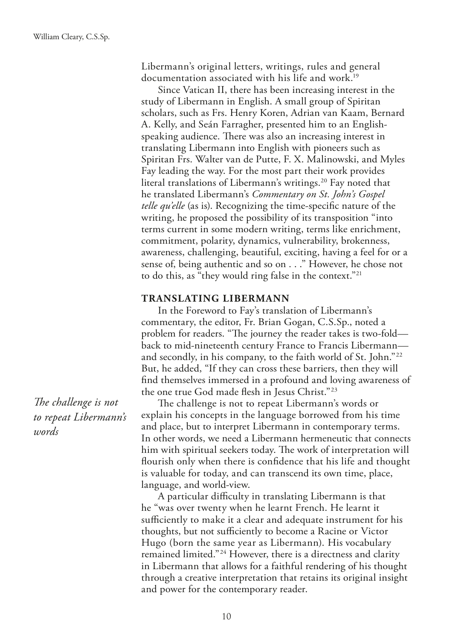Libermann's original letters, writings, rules and general documentation associated with his life and work.<sup>19</sup>

Since Vatican II, there has been increasing interest in the study of Libermann in English. A small group of Spiritan scholars, such as Frs. Henry Koren, Adrian van Kaam, Bernard A. Kelly, and Seán Farragher, presented him to an Englishspeaking audience. There was also an increasing interest in translating Libermann into English with pioneers such as Spiritan Frs. Walter van de Putte, F. X. Malinowski, and Myles Fay leading the way. For the most part their work provides literal translations of Libermann's writings.<sup>20</sup> Fay noted that he translated Libermann's *Commentary on St. John's Gospel telle qu'elle* (as is). Recognizing the time-specifc nature of the writing, he proposed the possibility of its transposition "into terms current in some modern writing, terms like enrichment, commitment, polarity, dynamics, vulnerability, brokenness, awareness, challenging, beautiful, exciting, having a feel for or a sense of, being authentic and so on . . ." However, he chose not to do this, as "they would ring false in the context."21

#### **TRANSLATING LIBERMANN**

In the Foreword to Fay's translation of Libermann's commentary, the editor, Fr. Brian Gogan, C.S.Sp., noted a problem for readers. "The journey the reader takes is two-fold back to mid-nineteenth century France to Francis Libermann and secondly, in his company, to the faith world of St. John."22 But, he added, "If they can cross these barriers, then they will fnd themselves immersed in a profound and loving awareness of the one true God made fesh in Jesus Christ."23

The challenge is not to repeat Libermann's words or explain his concepts in the language borrowed from his time and place, but to interpret Libermann in contemporary terms. In other words, we need a Libermann hermeneutic that connects him with spiritual seekers today. The work of interpretation will fourish only when there is confdence that his life and thought is valuable for today, and can transcend its own time, place, language, and world-view.

A particular difficulty in translating Libermann is that he "was over twenty when he learnt French. He learnt it sufficiently to make it a clear and adequate instrument for his thoughts, but not sufficiently to become a Racine or Victor Hugo (born the same year as Libermann). His vocabulary remained limited."24 However, there is a directness and clarity in Libermann that allows for a faithful rendering of his thought through a creative interpretation that retains its original insight and power for the contemporary reader.

*The challenge is not to repeat Libermann's words*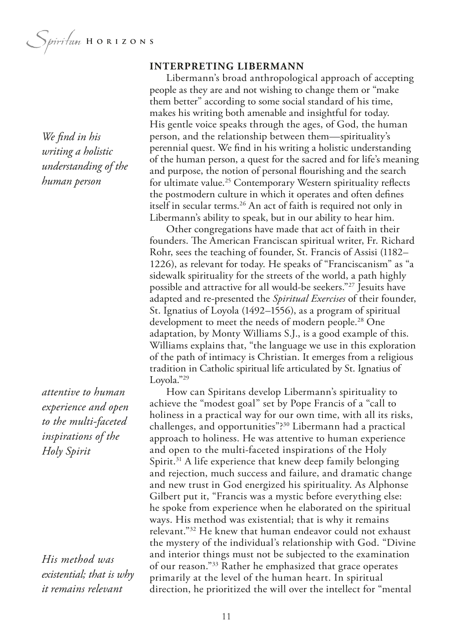Spiritum HORIZONS

*We fnd in his writing a holistic understanding of the human person*

*attentive to human experience and open to the multi-faceted inspirations of the Holy Spirit*

*His method was existential; that is why it remains relevant*

#### **INTERPRETING LIBERMANN**

Libermann's broad anthropological approach of accepting people as they are and not wishing to change them or "make them better" according to some social standard of his time, makes his writing both amenable and insightful for today. His gentle voice speaks through the ages, of God, the human person, and the relationship between them—spirituality's perennial quest. We fnd in his writing a holistic understanding of the human person, a quest for the sacred and for life's meaning and purpose, the notion of personal flourishing and the search for ultimate value.<sup>25</sup> Contemporary Western spirituality reflects the postmodern culture in which it operates and often defnes itself in secular terms.<sup>26</sup> An act of faith is required not only in Libermann's ability to speak, but in our ability to hear him.

Other congregations have made that act of faith in their founders. The American Franciscan spiritual writer, Fr. Richard Rohr, sees the teaching of founder, St. Francis of Assisi (1182– 1226), as relevant for today. He speaks of "Franciscanism" as "a sidewalk spirituality for the streets of the world, a path highly possible and attractive for all would-be seekers."27 Jesuits have adapted and re-presented the *Spiritual Exercises* of their founder, St. Ignatius of Loyola (1492–1556), as a program of spiritual development to meet the needs of modern people.<sup>28</sup> One adaptation, by Monty Williams S.J., is a good example of this. Williams explains that, "the language we use in this exploration of the path of intimacy is Christian. It emerges from a religious tradition in Catholic spiritual life articulated by St. Ignatius of Loyola."29

How can Spiritans develop Libermann's spirituality to achieve the "modest goal" set by Pope Francis of a "call to holiness in a practical way for our own time, with all its risks, challenges, and opportunities"?30 Libermann had a practical approach to holiness. He was attentive to human experience and open to the multi-faceted inspirations of the Holy Spirit.<sup>31</sup> A life experience that knew deep family belonging and rejection, much success and failure, and dramatic change and new trust in God energized his spirituality. As Alphonse Gilbert put it, "Francis was a mystic before everything else: he spoke from experience when he elaborated on the spiritual ways. His method was existential; that is why it remains relevant."32 He knew that human endeavor could not exhaust the mystery of the individual's relationship with God. "Divine and interior things must not be subjected to the examination of our reason."33 Rather he emphasized that grace operates primarily at the level of the human heart. In spiritual direction, he prioritized the will over the intellect for "mental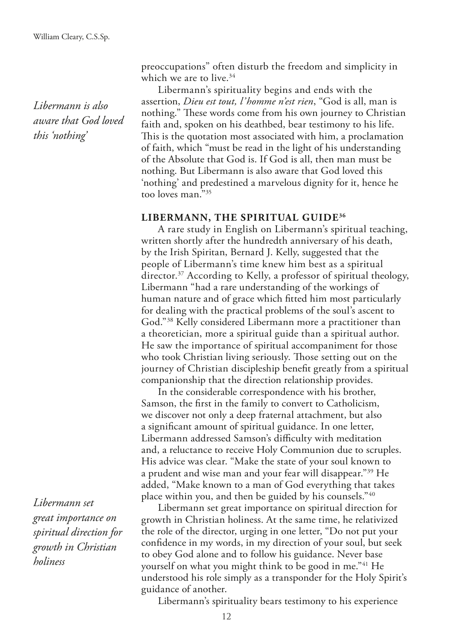*Libermann is also aware that God loved this 'nothing'*

*Libermann set great importance on spiritual direction for growth in Christian holiness*

preoccupations" often disturb the freedom and simplicity in which we are to live.<sup>34</sup>

Libermann's spirituality begins and ends with the assertion, *Dieu est tout, l'homme n'est rien*, "God is all, man is nothing." These words come from his own journey to Christian faith and, spoken on his deathbed, bear testimony to his life. This is the quotation most associated with him, a proclamation of faith, which "must be read in the light of his understanding of the Absolute that God is. If God is all, then man must be nothing. But Libermann is also aware that God loved this 'nothing' and predestined a marvelous dignity for it, hence he too loves man."35

#### **LIBERMANN, THE SPIRITUAL GUIDE36**

A rare study in English on Libermann's spiritual teaching, written shortly after the hundredth anniversary of his death, by the Irish Spiritan, Bernard J. Kelly, suggested that the people of Libermann's time knew him best as a spiritual director.<sup>37</sup> According to Kelly, a professor of spiritual theology, Libermann "had a rare understanding of the workings of human nature and of grace which ftted him most particularly for dealing with the practical problems of the soul's ascent to God."38 Kelly considered Libermann more a practitioner than a theoretician, more a spiritual guide than a spiritual author. He saw the importance of spiritual accompaniment for those who took Christian living seriously. Those setting out on the journey of Christian discipleship beneft greatly from a spiritual companionship that the direction relationship provides.

In the considerable correspondence with his brother, Samson, the frst in the family to convert to Catholicism, we discover not only a deep fraternal attachment, but also a signifcant amount of spiritual guidance. In one letter, Libermann addressed Samson's difficulty with meditation and, a reluctance to receive Holy Communion due to scruples. His advice was clear. "Make the state of your soul known to a prudent and wise man and your fear will disappear."39 He added, "Make known to a man of God everything that takes place within you, and then be guided by his counsels."40

Libermann set great importance on spiritual direction for growth in Christian holiness. At the same time, he relativized the role of the director, urging in one letter, "Do not put your confdence in my words, in my direction of your soul, but seek to obey God alone and to follow his guidance. Never base yourself on what you might think to be good in me."41 He understood his role simply as a transponder for the Holy Spirit's guidance of another.

Libermann's spirituality bears testimony to his experience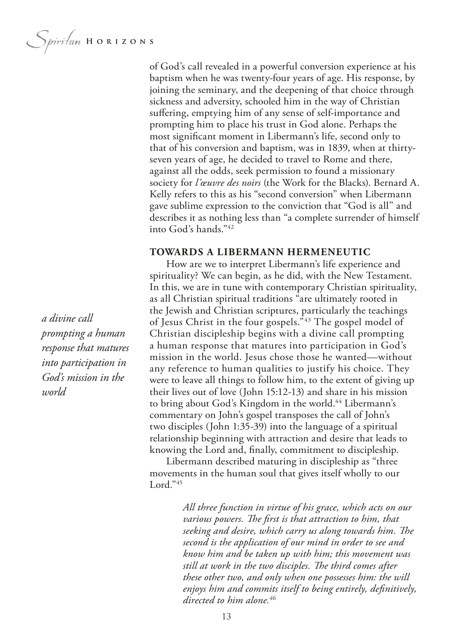of God's call revealed in a powerful conversion experience at his baptism when he was twenty-four years of age. His response, by joining the seminary, and the deepening of that choice through sickness and adversity, schooled him in the way of Christian sufering, emptying him of any sense of self-importance and prompting him to place his trust in God alone. Perhaps the most signifcant moment in Libermann's life, second only to that of his conversion and baptism, was in 1839, when at thirtyseven years of age, he decided to travel to Rome and there, against all the odds, seek permission to found a missionary society for *l'œuvre des noirs* (the Work for the Blacks). Bernard A. Kelly refers to this as his "second conversion" when Libermann gave sublime expression to the conviction that "God is all" and describes it as nothing less than "a complete surrender of himself into God's hands."42

#### **TOWARDS A LIBERMANN HERMENEUTIC**

How are we to interpret Libermann's life experience and spirituality? We can begin, as he did, with the New Testament. In this, we are in tune with contemporary Christian spirituality, as all Christian spiritual traditions "are ultimately rooted in the Jewish and Christian scriptures, particularly the teachings of Jesus Christ in the four gospels."43 The gospel model of Christian discipleship begins with a divine call prompting a human response that matures into participation in God's mission in the world. Jesus chose those he wanted—without any reference to human qualities to justify his choice. They were to leave all things to follow him, to the extent of giving up their lives out of love (John 15:12-13) and share in his mission to bring about God's Kingdom in the world.<sup>44</sup> Libermann's commentary on John's gospel transposes the call of John's two disciples (John 1:35-39) into the language of a spiritual relationship beginning with attraction and desire that leads to knowing the Lord and, fnally, commitment to discipleship.

Libermann described maturing in discipleship as "three movements in the human soul that gives itself wholly to our Lord."45

> *All three function in virtue of his grace, which acts on our various powers. The first is that attraction to him, that seeking and desire, which carry us along towards him. Te second is the application of our mind in order to see and know him and be taken up with him; this movement was still at work in the two disciples. Te third comes after these other two, and only when one possesses him: the will enjoys him and commits itself to being entirely, defnitively, directed to him alone.46*

*a divine call prompting a human response that matures into participation in God's mission in the world*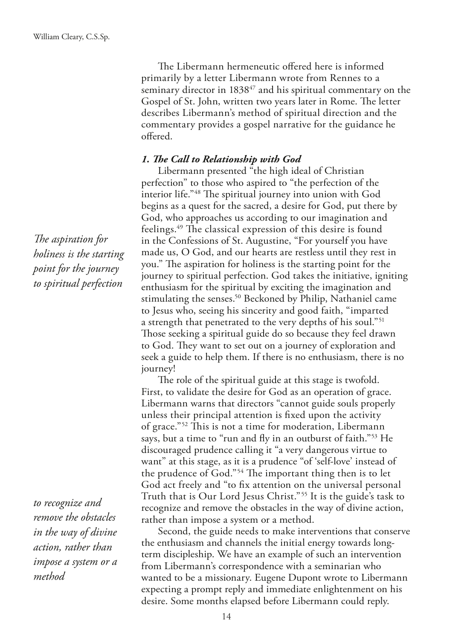The Libermann hermeneutic offered here is informed primarily by a letter Libermann wrote from Rennes to a seminary director in 1838<sup>47</sup> and his spiritual commentary on the Gospel of St. John, written two years later in Rome. The letter describes Libermann's method of spiritual direction and the commentary provides a gospel narrative for the guidance he ofered.

#### *1. Te Call to Relationship with God*

Libermann presented "the high ideal of Christian perfection" to those who aspired to "the perfection of the interior life."<sup>48</sup> The spiritual journey into union with God begins as a quest for the sacred, a desire for God, put there by God, who approaches us according to our imagination and feelings.<sup>49</sup> The classical expression of this desire is found in the Confessions of St. Augustine, "For yourself you have made us, O God, and our hearts are restless until they rest in you." The aspiration for holiness is the starting point for the journey to spiritual perfection. God takes the initiative, igniting enthusiasm for the spiritual by exciting the imagination and stimulating the senses.<sup>50</sup> Beckoned by Philip, Nathaniel came to Jesus who, seeing his sincerity and good faith, "imparted a strength that penetrated to the very depths of his soul."<sup>51</sup> Those seeking a spiritual guide do so because they feel drawn to God. They want to set out on a journey of exploration and seek a guide to help them. If there is no enthusiasm, there is no journey!

The role of the spiritual guide at this stage is twofold. First, to validate the desire for God as an operation of grace. Libermann warns that directors "cannot guide souls properly unless their principal attention is fxed upon the activity of grace."<sup>52</sup> This is not a time for moderation, Libermann says, but a time to "run and fly in an outburst of faith."<sup>53</sup> He discouraged prudence calling it "a very dangerous virtue to want" at this stage, as it is a prudence "of 'self-love' instead of the prudence of God."<sup>54</sup> The important thing then is to let God act freely and "to fx attention on the universal personal Truth that is Our Lord Jesus Christ."55 It is the guide's task to recognize and remove the obstacles in the way of divine action, rather than impose a system or a method.

Second, the guide needs to make interventions that conserve the enthusiasm and channels the initial energy towards longterm discipleship. We have an example of such an intervention from Libermann's correspondence with a seminarian who wanted to be a missionary. Eugene Dupont wrote to Libermann expecting a prompt reply and immediate enlightenment on his desire. Some months elapsed before Libermann could reply.

**The aspiration for** *holiness is the starting point for the journey to spiritual perfection*

*to recognize and remove the obstacles in the way of divine action, rather than impose a system or a method*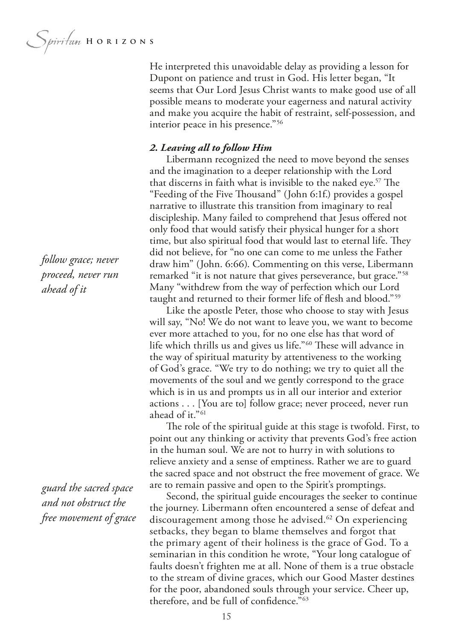He interpreted this unavoidable delay as providing a lesson for Dupont on patience and trust in God. His letter began, "It seems that Our Lord Jesus Christ wants to make good use of all possible means to moderate your eagerness and natural activity and make you acquire the habit of restraint, self-possession, and interior peace in his presence."56

#### *2. Leaving all to follow Him*

Libermann recognized the need to move beyond the senses and the imagination to a deeper relationship with the Lord that discerns in faith what is invisible to the naked eye.<sup>57</sup> The "Feeding of the Five Thousand" (John 6:1f.) provides a gospel narrative to illustrate this transition from imaginary to real discipleship. Many failed to comprehend that Jesus ofered not only food that would satisfy their physical hunger for a short time, but also spiritual food that would last to eternal life. They did not believe, for "no one can come to me unless the Father draw him" (John. 6:66). Commenting on this verse, Libermann remarked "it is not nature that gives perseverance, but grace."58 Many "withdrew from the way of perfection which our Lord taught and returned to their former life of fesh and blood."59

Like the apostle Peter, those who choose to stay with Jesus will say, "No! We do not want to leave you, we want to become ever more attached to you, for no one else has that word of life which thrills us and gives us life."<sup>60</sup> These will advance in the way of spiritual maturity by attentiveness to the working of God's grace. "We try to do nothing; we try to quiet all the movements of the soul and we gently correspond to the grace which is in us and prompts us in all our interior and exterior actions . . . [You are to] follow grace; never proceed, never run ahead of it."61

The role of the spiritual guide at this stage is twofold. First, to point out any thinking or activity that prevents God's free action in the human soul. We are not to hurry in with solutions to relieve anxiety and a sense of emptiness. Rather we are to guard the sacred space and not obstruct the free movement of grace. We are to remain passive and open to the Spirit's promptings.

Second, the spiritual guide encourages the seeker to continue the journey. Libermann often encountered a sense of defeat and discouragement among those he advised.<sup>62</sup> On experiencing setbacks, they began to blame themselves and forgot that the primary agent of their holiness is the grace of God. To a seminarian in this condition he wrote, "Your long catalogue of faults doesn't frighten me at all. None of them is a true obstacle to the stream of divine graces, which our Good Master destines for the poor, abandoned souls through your service. Cheer up, therefore, and be full of confdence."63

*follow grace; never proceed, never run ahead of it*

*guard the sacred space and not obstruct the free movement of grace*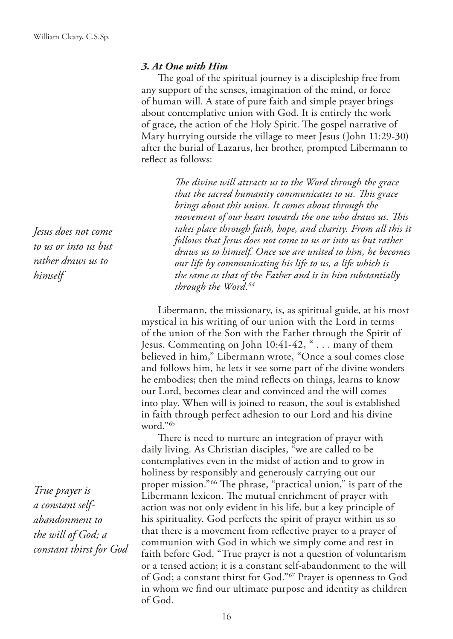#### *3. At One with Him*

The goal of the spiritual journey is a discipleship free from any support of the senses, imagination of the mind, or force of human will. A state of pure faith and simple prayer brings about contemplative union with God. It is entirely the work of grace, the action of the Holy Spirit. The gospel narrative of Mary hurrying outside the village to meet Jesus (John 11:29-30) after the burial of Lazarus, her brother, prompted Libermann to refect as follows:

> The divine will attracts us to the Word through the grace *that the sacred humanity communicates to us. Tis grace brings about this union. It comes about through the movement of our heart towards the one who draws us. Tis takes place through faith, hope, and charity. From all this it follows that Jesus does not come to us or into us but rather draws us to himself. Once we are united to him, he becomes our life by communicating his life to us, a life which is the same as that of the Father and is in him substantially through the Word.64*

Libermann, the missionary, is, as spiritual guide, at his most mystical in his writing of our union with the Lord in terms of the union of the Son with the Father through the Spirit of Jesus. Commenting on John 10:41-42, " . . . many of them believed in him," Libermann wrote, "Once a soul comes close and follows him, he lets it see some part of the divine wonders he embodies; then the mind refects on things, learns to know our Lord, becomes clear and convinced and the will comes into play. When will is joined to reason, the soul is established in faith through perfect adhesion to our Lord and his divine word."65

There is need to nurture an integration of prayer with daily living. As Christian disciples, "we are called to be contemplatives even in the midst of action and to grow in holiness by responsibly and generously carrying out our proper mission."<sup>66</sup> The phrase, "practical union," is part of the Libermann lexicon. The mutual enrichment of prayer with action was not only evident in his life, but a key principle of his spirituality. God perfects the spirit of prayer within us so that there is a movement from refective prayer to a prayer of communion with God in which we simply come and rest in faith before God. "True prayer is not a question of voluntarism or a tensed action; it is a constant self-abandonment to the will of God; a constant thirst for God."67 Prayer is openness to God in whom we fnd our ultimate purpose and identity as children of God.

*Jesus does not come to us or into us but rather draws us to himself*

*True prayer is a constant selfabandonment to the will of God; a constant thirst for God*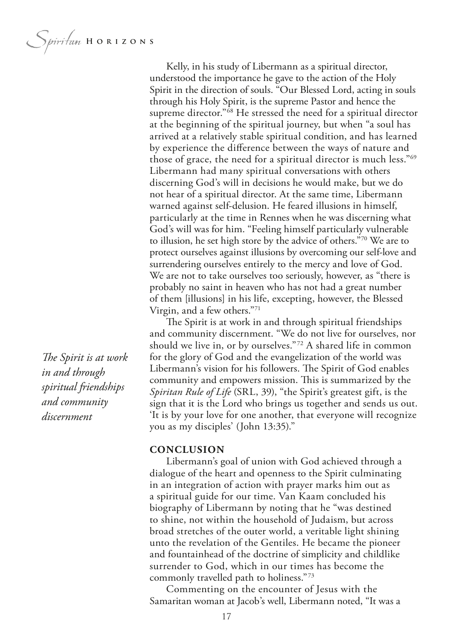Spiritan HORIZONS

Kelly, in his study of Libermann as a spiritual director, understood the importance he gave to the action of the Holy Spirit in the direction of souls. "Our Blessed Lord, acting in souls through his Holy Spirit, is the supreme Pastor and hence the supreme director."<sup>68</sup> He stressed the need for a spiritual director at the beginning of the spiritual journey, but when "a soul has arrived at a relatively stable spiritual condition, and has learned by experience the diference between the ways of nature and those of grace, the need for a spiritual director is much less."69 Libermann had many spiritual conversations with others discerning God's will in decisions he would make, but we do not hear of a spiritual director. At the same time, Libermann warned against self-delusion. He feared illusions in himself, particularly at the time in Rennes when he was discerning what God's will was for him. "Feeling himself particularly vulnerable to illusion, he set high store by the advice of others."70 We are to protect ourselves against illusions by overcoming our self-love and surrendering ourselves entirely to the mercy and love of God. We are not to take ourselves too seriously, however, as "there is probably no saint in heaven who has not had a great number of them [illusions] in his life, excepting, however, the Blessed Virgin, and a few others."71

The Spirit is at work in and through spiritual friendships and community discernment. "We do not live for ourselves, nor should we live in, or by ourselves."72 A shared life in common for the glory of God and the evangelization of the world was Libermann's vision for his followers. The Spirit of God enables community and empowers mission. This is summarized by the *Spiritan Rule of Life* (SRL, 39), "the Spirit's greatest gift, is the sign that it is the Lord who brings us together and sends us out. 'It is by your love for one another, that everyone will recognize you as my disciples' (John 13:35)."

#### **CONCLUSION**

Libermann's goal of union with God achieved through a dialogue of the heart and openness to the Spirit culminating in an integration of action with prayer marks him out as a spiritual guide for our time. Van Kaam concluded his biography of Libermann by noting that he "was destined to shine, not within the household of Judaism, but across broad stretches of the outer world, a veritable light shining unto the revelation of the Gentiles. He became the pioneer and fountainhead of the doctrine of simplicity and childlike surrender to God, which in our times has become the commonly travelled path to holiness."73

Commenting on the encounter of Jesus with the Samaritan woman at Jacob's well, Libermann noted, "It was a

*The Spirit is at work in and through spiritual friendships and community discernment*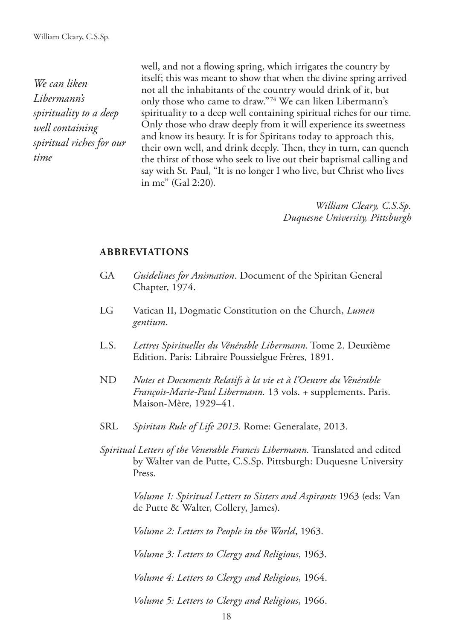*We can liken Libermann's spirituality to a deep well containing spiritual riches for our time*

well, and not a flowing spring, which irrigates the country by itself; this was meant to show that when the divine spring arrived not all the inhabitants of the country would drink of it, but only those who came to draw."74 We can liken Libermann's spirituality to a deep well containing spiritual riches for our time. Only those who draw deeply from it will experience its sweetness and know its beauty. It is for Spiritans today to approach this, their own well, and drink deeply. Then, they in turn, can quench the thirst of those who seek to live out their baptismal calling and say with St. Paul, "It is no longer I who live, but Christ who lives in me" (Gal 2:20).

> *William Cleary, C.S.Sp. Duquesne University, Pittsburgh*

#### **ABBREVIATIONS**

- GA *Guidelines for Animation*. Document of the Spiritan General Chapter, 1974.
- LG Vatican II, Dogmatic Constitution on the Church, *Lumen gentium*.
- L.S. *Lettres Spirituelles du Vénérable Libermann*. Tome 2. Deuxième Edition. Paris: Libraire Poussielgue Frères, 1891.
- ND *Notes et Documents Relatifs à la vie et à l'Oeuvre du Vénérable François-Marie-Paul Libermann.* 13 vols. + supplements. Paris. Maison-Mère, 1929–41.
- SRL *Spiritan Rule of Life 2013*. Rome: Generalate, 2013.
- *Spiritual Letters of the Venerable Francis Libermann.* Translated and edited by Walter van de Putte, C.S.Sp. Pittsburgh: Duquesne University Press.

*Volume 1: Spiritual Letters to Sisters and Aspirants* 1963 (eds: Van de Putte & Walter, Collery, James).

*Volume 2: Letters to People in the World*, 1963.

*Volume 3: Letters to Clergy and Religious*, 1963.

*Volume 4: Letters to Clergy and Religious*, 1964.

*Volume 5: Letters to Clergy and Religious*, 1966.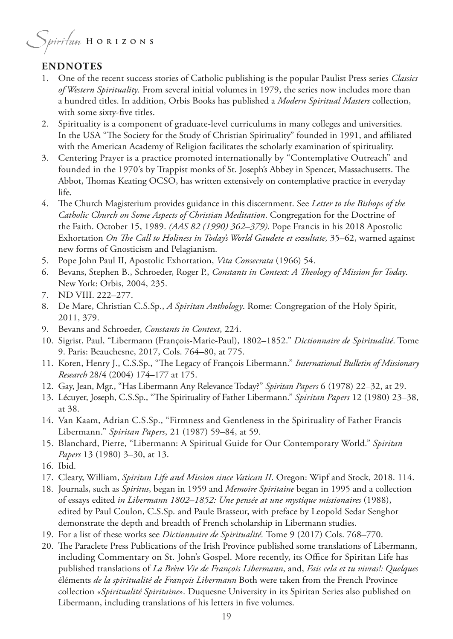### **ENDNOTES**

- 1. One of the recent success stories of Catholic publishing is the popular Paulist Press series *Classics of Western Spirituality*. From several initial volumes in 1979, the series now includes more than a hundred titles. In addition, Orbis Books has published a *Modern Spiritual Masters* collection, with some sixty-fve titles.
- 2. Spirituality is a component of graduate-level curriculums in many colleges and universities. In the USA "The Society for the Study of Christian Spirituality" founded in 1991, and affiliated with the American Academy of Religion facilitates the scholarly examination of spirituality.
- 3. Centering Prayer is a practice promoted internationally by "Contemplative Outreach" and founded in the 1970's by Trappist monks of St. Joseph's Abbey in Spencer, Massachusetts. The Abbot, Tomas Keating OCSO, has written extensively on contemplative practice in everyday life.
- 4. The Church Magisterium provides guidance in this discernment. See Letter to the Bishops of the *Catholic Church on Some Aspects of Christian Meditation*. Congregation for the Doctrine of the Faith. October 15, 1989. *(AAS 82 (1990) 362–379).* Pope Francis in his 2018 Apostolic Exhortation On The Call to Holiness in Today's World Gaudete et exsultate, 35–62, warned against new forms of Gnosticism and Pelagianism*.*
- 5. Pope John Paul II, Apostolic Exhortation, *Vita Consecrata* (1966) 54.
- 6. Bevans, Stephen B., Schroeder, Roger P., *Constants in Context: A Teology of Mission for Today*. New York: Orbis, 2004, 235.
- 7. ND VIII. 222–277.
- 8. De Mare, Christian C.S.Sp., *A Spiritan Anthology*. Rome: Congregation of the Holy Spirit, 2011, 379.
- 9. Bevans and Schroeder, *Constants in Context*, 224.
- 10. Sigrist, Paul, "Libermann (François-Marie-Paul), 1802–1852." *Dictionnaire de Spiritualité*. Tome 9. Paris: Beauchesne, 2017, Cols. 764–80, at 775.
- 11. Koren, Henry J., C.S.Sp., "The Legacy of François Libermann." International Bulletin of Missionary *Research* 28/4 (2004) 174–177 at 175.
- 12. Gay, Jean, Mgr., "Has Libermann Any Relevance Today?" *Spiritan Papers* 6 (1978) 22–32, at 29.
- 13. Lécuyer, Joseph, C.S.Sp., "Te Spirituality of Father Libermann." *Spiritan Papers* 12 (1980) 23–38, at 38.
- 14. Van Kaam, Adrian C.S.Sp., "Firmness and Gentleness in the Spirituality of Father Francis Libermann." *Spiritan Papers*, 21 (1987) 59–84, at 59.
- 15. Blanchard, Pierre, "Libermann: A Spiritual Guide for Our Contemporary World." *Spiritan Papers* 13 (1980) 3–30, at 13.
- 16. Ibid.
- 17. Cleary, William, *Spiritan Life and Mission since Vatican II*. Oregon: Wipf and Stock, 2018. 114.
- 18. Journals, such as *Spiritus*, began in 1959 and *Memoire Spiritaine* began in 1995 and a collection of essays edited *in Libermann 1802–1852: Une pensée at une mystique missionaires* (1988), edited by Paul Coulon, C.S.Sp. and Paule Brasseur, with preface by Leopold Sedar Senghor demonstrate the depth and breadth of French scholarship in Libermann studies.
- 19. For a list of these works see *Dictionnaire de Spiritualité.* Tome 9 (2017) Cols. 768–770.
- 20. The Paraclete Press Publications of the Irish Province published some translations of Libermann, including Commentary on St. John's Gospel. More recently, its Office for Spiritan Life has published translations of *La Brève Vie de François Libermann*, and, *Fais cela et tu vivras!: Quelques*  éléments *de la spiritualité de François Libermann* Both were taken from the French Province collection *«Spiritualité Spiritaine*». Duquesne University in its Spiritan Series also published on Libermann, including translations of his letters in fve volumes.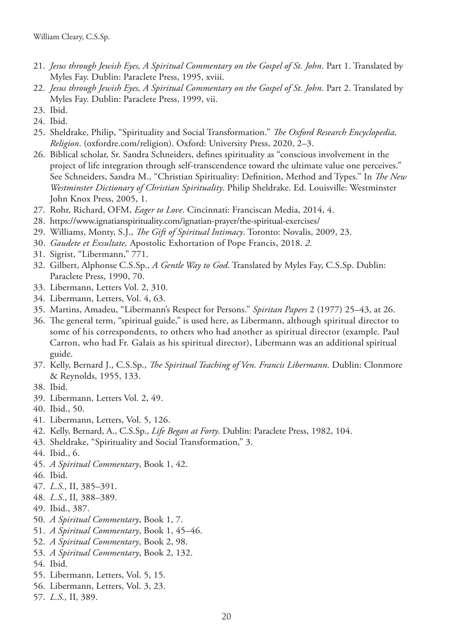- 21. *Jesus through Jewish Eyes, A Spiritual Commentary on the Gospel of St. John*. Part 1. Translated by Myles Fay. Dublin: Paraclete Press, 1995, xviii.
- 22. *Jesus through Jewish Eyes, A Spiritual Commentary on the Gospel of St. John*. Part 2. Translated by Myles Fay. Dublin: Paraclete Press, 1999, vii.
- 23. Ibid.
- 24. Ibid.
- 25. Sheldrake, Philip, "Spirituality and Social Transformation." *Te Oxford Research Encyclopedia, Religion*. (oxfordre.com/religion). Oxford: University Press, 2020, 2–3.
- 26. Biblical scholar, Sr. Sandra Schneiders, defnes spirituality as "conscious involvement in the project of life integration through self-transcendence toward the ultimate value one perceives." See Schneiders, Sandra M., "Christian Spirituality: Defnition, Method and Types." In *Te New Westminster Dictionary of Christian Spirituality*. Philip Sheldrake. Ed. Louisville: Westminster John Knox Press, 2005, 1.
- 27. Rohr, Richard, OFM, *Eager to Love*. Cincinnati: Franciscan Media, 2014, 4.
- 28. https://www.ignatianspirituality.com/ignatian-prayer/the-spiritual-exercises/
- 29. Williams, Monty, S.J., *Te Gift of Spiritual Intimacy*. Toronto: Novalis, 2009, 23.
- 30. *Gaudete et Exsultate,* Apostolic Exhortation of Pope Francis, 2018. *2.*
- 31. Sigrist, "Libermann," 771.
- 32. Gilbert, Alphonse C.S.Sp., *A Gentle Way to God*. Translated by Myles Fay, C.S.Sp. Dublin: Paraclete Press, 1990, 70.
- 33. Libermann, Letters Vol. 2, 310.
- 34. Libermann, Letters, Vol. 4, 63.
- 35. Martins, Amadeu, "Libermann's Respect for Persons." *Spiritan Papers* 2 (1977) 25–43, at 26.
- 36. The general term, "spiritual guide," is used here, as Libermann, although spiritual director to some of his correspondents, to others who had another as spiritual director (example. Paul Carron, who had Fr. Galais as his spiritual director), Libermann was an additional spiritual guide.
- 37. Kelly, Bernard J., C.S.Sp., *Te Spiritual Teaching of Ven. Francis Libermann*. Dublin: Clonmore & Reynolds, 1955, 133.
- 38. Ibid.
- 39. Libermann, Letters Vol. 2, 49.
- 40. Ibid., 50.
- 41. Libermann, Letters, Vol. 5, 126.
- 42. Kelly, Bernard, A., C.S.Sp., *Life Began at Forty*. Dublin: Paraclete Press, 1982, 104.
- 43. Sheldrake, "Spirituality and Social Transformation," 3.
- 44. Ibid., 6.
- 45. *A Spiritual Commentary*, Book 1, 42.
- 46. Ibid.
- 47. *L.S.,* II, 385–391.
- 48. *L.S*., II*,* 388–389.
- 49. Ibid., 387.
- 50. *A Spiritual Commentary*, Book 1, 7.
- 51. *A Spiritual Commentary*, Book 1, 45–46.
- 52. *A Spiritual Commentary*, Book 2, 98.
- 53. *A Spiritual Commentary*, Book 2, 132.
- 54. Ibid.
- 55. Libermann, Letters, Vol. 5, 15.
- 56. Libermann, Letters, Vol. 3, 23.
- 57. *L.S.,* II*,* 389.